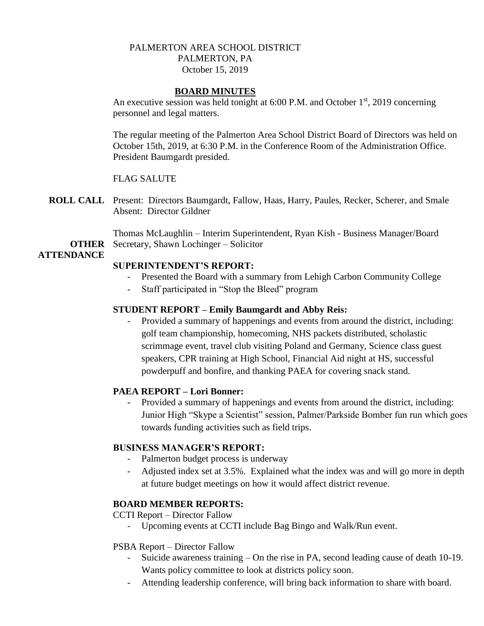### PALMERTON AREA SCHOOL DISTRICT PALMERTON, PA October 15, 2019

#### **BOARD MINUTES**

An executive session was held tonight at  $6:00$  P.M. and October  $1<sup>st</sup>$ , 2019 concerning personnel and legal matters.

The regular meeting of the Palmerton Area School District Board of Directors was held on October 15th, 2019, at 6:30 P.M. in the Conference Room of the Administration Office. President Baumgardt presided.

#### FLAG SALUTE

**ROLL CALL** Present: Directors Baumgardt, Fallow, Haas, Harry, Paules, Recker, Scherer, and Smale Absent: Director Gildner

**OTHER** Secretary, Shawn Lochinger – Solicitor Thomas McLaughlin – Interim Superintendent, Ryan Kish - Business Manager/Board

## **ATTENDANCE**

#### **SUPERINTENDENT'S REPORT:**

- Presented the Board with a summary from Lehigh Carbon Community College
- Staff participated in "Stop the Bleed" program

#### **STUDENT REPORT – Emily Baumgardt and Abby Reis:**

Provided a summary of happenings and events from around the district, including: golf team championship, homecoming, NHS packets distributed, scholastic scrimmage event, travel club visiting Poland and Germany, Science class guest speakers, CPR training at High School, Financial Aid night at HS, successful powderpuff and bonfire, and thanking PAEA for covering snack stand.

## **PAEA REPORT – Lori Bonner:**

- Provided a summary of happenings and events from around the district, including: Junior High "Skype a Scientist" session, Palmer/Parkside Bomber fun run which goes towards funding activities such as field trips.

## **BUSINESS MANAGER'S REPORT:**

- Palmerton budget process is underway
- Adjusted index set at 3.5%. Explained what the index was and will go more in depth at future budget meetings on how it would affect district revenue.

## **BOARD MEMBER REPORTS:**

CCTI Report – Director Fallow

- Upcoming events at CCTI include Bag Bingo and Walk/Run event.

#### PSBA Report – Director Fallow

- Suicide awareness training On the rise in PA, second leading cause of death 10-19. Wants policy committee to look at districts policy soon.
- Attending leadership conference, will bring back information to share with board.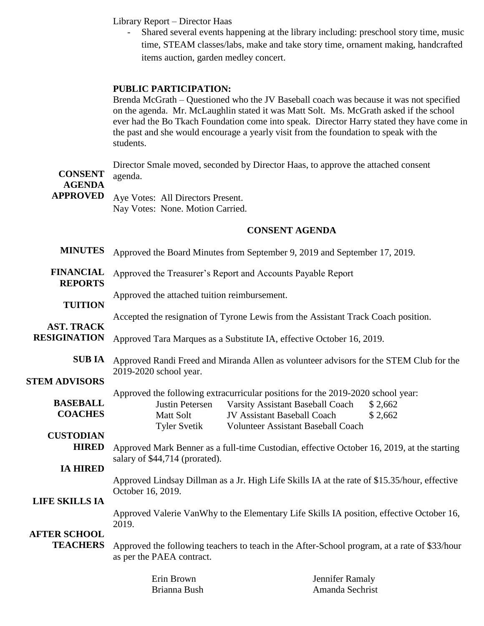Library Report – Director Haas

Shared several events happening at the library including: preschool story time, music time, STEAM classes/labs, make and take story time, ornament making, handcrafted items auction, garden medley concert.

### **PUBLIC PARTICIPATION:**

Brenda McGrath – Questioned who the JV Baseball coach was because it was not specified on the agenda. Mr. McLaughlin stated it was Matt Solt. Ms. McGrath asked if the school ever had the Bo Tkach Foundation come into speak. Director Harry stated they have come in the past and she would encourage a yearly visit from the foundation to speak with the students.

| <b>CONSENT</b><br><b>AGENDA</b>          | Director Smale moved, seconded by Director Haas, to approve the attached consent<br>agenda.                                                                                                                                                                                  |  |  |  |
|------------------------------------------|------------------------------------------------------------------------------------------------------------------------------------------------------------------------------------------------------------------------------------------------------------------------------|--|--|--|
| <b>APPROVED</b>                          | Aye Votes: All Directors Present.<br>Nay Votes: None. Motion Carried.                                                                                                                                                                                                        |  |  |  |
|                                          | <b>CONSENT AGENDA</b>                                                                                                                                                                                                                                                        |  |  |  |
| <b>MINUTES</b>                           | Approved the Board Minutes from September 9, 2019 and September 17, 2019.                                                                                                                                                                                                    |  |  |  |
| <b>FINANCIAL</b><br><b>REPORTS</b>       | Approved the Treasurer's Report and Accounts Payable Report                                                                                                                                                                                                                  |  |  |  |
| <b>TUITION</b>                           | Approved the attached tuition reimbursement.                                                                                                                                                                                                                                 |  |  |  |
| <b>AST. TRACK</b><br><b>RESIGINATION</b> | Accepted the resignation of Tyrone Lewis from the Assistant Track Coach position.<br>Approved Tara Marques as a Substitute IA, effective October 16, 2019.                                                                                                                   |  |  |  |
| <b>SUBIA</b>                             | Approved Randi Freed and Miranda Allen as volunteer advisors for the STEM Club for the<br>2019-2020 school year.                                                                                                                                                             |  |  |  |
| <b>STEM ADVISORS</b>                     |                                                                                                                                                                                                                                                                              |  |  |  |
| <b>BASEBALL</b><br><b>COACHES</b>        | Approved the following extracurricular positions for the 2019-2020 school year:<br>Varsity Assistant Baseball Coach<br>Justin Petersen<br>\$2,662<br><b>Matt Solt</b><br>JV Assistant Baseball Coach<br>\$2,662<br>Volunteer Assistant Baseball Coach<br><b>Tyler Svetik</b> |  |  |  |
| <b>CUSTODIAN</b><br><b>HIRED</b>         | Approved Mark Benner as a full-time Custodian, effective October 16, 2019, at the starting                                                                                                                                                                                   |  |  |  |
| <b>IA HIRED</b>                          | salary of \$44,714 (prorated).                                                                                                                                                                                                                                               |  |  |  |
| <b>LIFE SKILLS IA</b>                    | Approved Lindsay Dillman as a Jr. High Life Skills IA at the rate of \$15.35/hour, effective<br>October 16, 2019.                                                                                                                                                            |  |  |  |
|                                          | Approved Valerie VanWhy to the Elementary Life Skills IA position, effective October 16,<br>2019.                                                                                                                                                                            |  |  |  |

# **AFTER SCHOOL**

**TEACHERS** Approved the following teachers to teach in the After-School program, at a rate of \$33/hour as per the PAEA contract.

| Erin Brown   |
|--------------|
| Brianna Bush |

Jennifer Ramaly Amanda Sechrist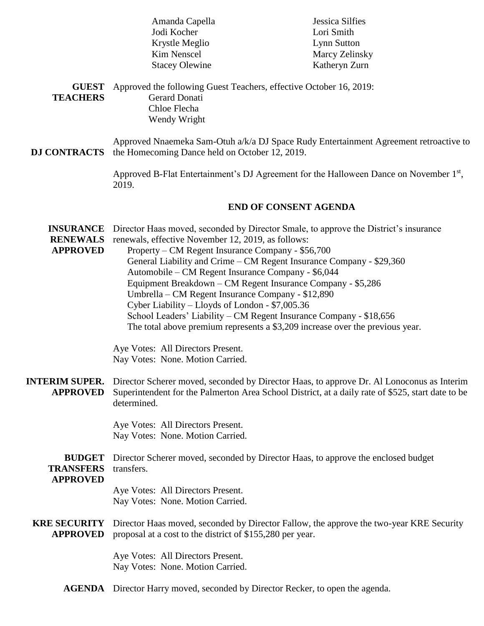|                                                        | Amanda Capella                                                                                                                                                                                                                                                                                                             | Jessica Silfies                                                                                                                                              |  |  |  |
|--------------------------------------------------------|----------------------------------------------------------------------------------------------------------------------------------------------------------------------------------------------------------------------------------------------------------------------------------------------------------------------------|--------------------------------------------------------------------------------------------------------------------------------------------------------------|--|--|--|
|                                                        | Jodi Kocher                                                                                                                                                                                                                                                                                                                | Lori Smith                                                                                                                                                   |  |  |  |
|                                                        | Krystle Meglio                                                                                                                                                                                                                                                                                                             | Lynn Sutton                                                                                                                                                  |  |  |  |
|                                                        | Kim Nenscel                                                                                                                                                                                                                                                                                                                | Marcy Zelinsky                                                                                                                                               |  |  |  |
|                                                        | <b>Stacey Olewine</b>                                                                                                                                                                                                                                                                                                      | Katheryn Zurn                                                                                                                                                |  |  |  |
| <b>GUEST</b><br><b>TEACHERS</b>                        | Approved the following Guest Teachers, effective October 16, 2019:<br><b>Gerard Donati</b><br>Chloe Flecha                                                                                                                                                                                                                 |                                                                                                                                                              |  |  |  |
|                                                        | Wendy Wright                                                                                                                                                                                                                                                                                                               |                                                                                                                                                              |  |  |  |
| <b>DJ CONTRACTS</b>                                    | Approved Nnaemeka Sam-Otuh a/k/a DJ Space Rudy Entertainment Agreement retroactive to<br>the Homecoming Dance held on October 12, 2019.                                                                                                                                                                                    |                                                                                                                                                              |  |  |  |
|                                                        | Approved B-Flat Entertainment's DJ Agreement for the Halloween Dance on November 1 <sup>st</sup> ,<br>2019.                                                                                                                                                                                                                |                                                                                                                                                              |  |  |  |
|                                                        | <b>END OF CONSENT AGENDA</b>                                                                                                                                                                                                                                                                                               |                                                                                                                                                              |  |  |  |
| <b>INSURANCE</b><br><b>RENEWALS</b><br><b>APPROVED</b> | renewals, effective November 12, 2019, as follows:<br>Property – CM Regent Insurance Company - \$56,700<br>Automobile - CM Regent Insurance Company - \$6,044                                                                                                                                                              | Director Haas moved, seconded by Director Smale, to approve the District's insurance<br>General Liability and Crime – CM Regent Insurance Company - \$29,360 |  |  |  |
|                                                        | Equipment Breakdown - CM Regent Insurance Company - \$5,286<br>Umbrella - CM Regent Insurance Company - \$12,890<br>Cyber Liability – Lloyds of London - \$7,005.36<br>School Leaders' Liability – CM Regent Insurance Company - \$18,656<br>The total above premium represents a \$3,209 increase over the previous year. |                                                                                                                                                              |  |  |  |
|                                                        | Aye Votes: All Directors Present.<br>Nay Votes: None. Motion Carried.                                                                                                                                                                                                                                                      |                                                                                                                                                              |  |  |  |
| <b>INTERIM SUPER.</b><br><b>APPROVED</b>               | Director Scherer moved, seconded by Director Haas, to approve Dr. Al Lonoconus as Interim<br>Superintendent for the Palmerton Area School District, at a daily rate of \$525, start date to be<br>determined.                                                                                                              |                                                                                                                                                              |  |  |  |
|                                                        | Aye Votes: All Directors Present.<br>Nay Votes: None. Motion Carried.                                                                                                                                                                                                                                                      |                                                                                                                                                              |  |  |  |
| <b>BUDGET</b><br><b>TRANSFERS</b><br><b>APPROVED</b>   | Director Scherer moved, seconded by Director Haas, to approve the enclosed budget<br>transfers.                                                                                                                                                                                                                            |                                                                                                                                                              |  |  |  |
|                                                        | Aye Votes: All Directors Present.<br>Nay Votes: None. Motion Carried.                                                                                                                                                                                                                                                      |                                                                                                                                                              |  |  |  |
| <b>KRE SECURITY</b><br><b>APPROVED</b>                 | proposal at a cost to the district of \$155,280 per year.                                                                                                                                                                                                                                                                  | Director Haas moved, seconded by Director Fallow, the approve the two-year KRE Security                                                                      |  |  |  |
|                                                        | Aye Votes: All Directors Present.<br>Nay Votes: None. Motion Carried.                                                                                                                                                                                                                                                      |                                                                                                                                                              |  |  |  |
| <b>AGENDA</b>                                          | Director Harry moved, seconded by Director Recker, to open the agenda.                                                                                                                                                                                                                                                     |                                                                                                                                                              |  |  |  |